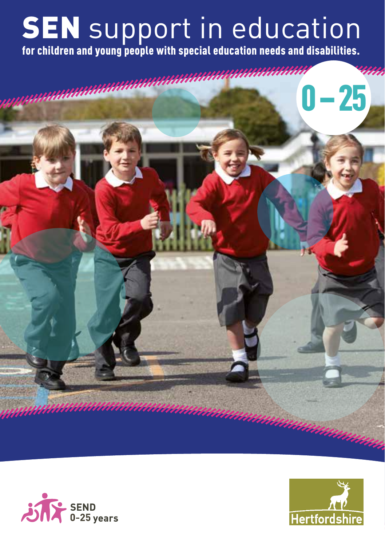# **SEN** support in education

for children and young people with special education needs and disabilities.





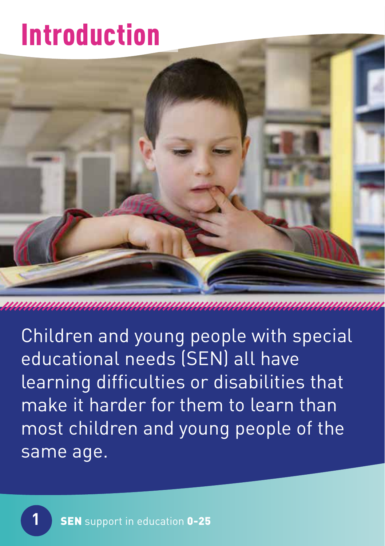# Introduction



Children and young people with special educational needs (SEN) all have learning difficulties or disabilities that make it harder for them to learn than most children and young people of the same age.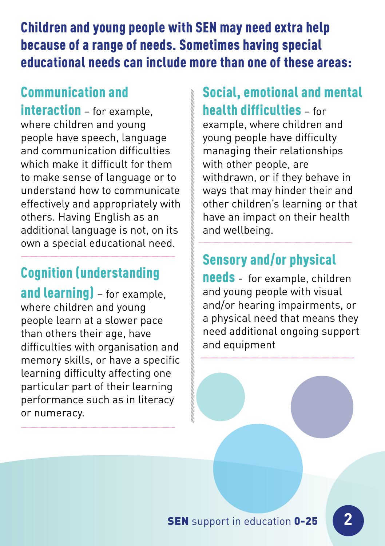Children and young people with SEN may need extra help because of a range of needs. Sometimes having special educational needs can include more than one of these areas:

### Communication and

interaction – for example. where children and young people have speech, language and communication difficulties which make it difficult for them to make sense of language or to understand how to communicate effectively and appropriately with others. Having English as an additional language is not, on its own a special educational need.

#### Cognition (understanding

and learning) - for example, where children and young people learn at a slower pace than others their age, have difficulties with organisation and memory skills, or have a specific learning difficulty affecting one particular part of their learning performance such as in literacy or numeracy.

#### Social, emotional and mental health difficulties – for

example, where children and young people have difficulty managing their relationships with other people, are withdrawn, or if they behave in ways that may hinder their and other children's learning or that have an impact on their health and wellbeing.

### Sensory and/or physical

needs - for example, children and young people with visual and/or hearing impairments, or a physical need that means they need additional ongoing support and equipment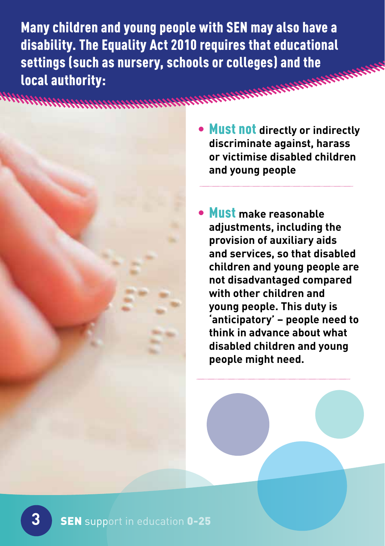Many children and young people with SEN may also have a disability. The Equality Act 2010 requires that educational settings (such as nursery, schools or colleges) and the local authority:

- - Must not **directly or indirectly discriminate against, harass or victimise disabled children and young people**
	- Must **make reasonable adjustments, including the provision of auxiliary aids and services, so that disabled children and young people are not disadvantaged compared with other children and young people. This duty is 'anticipatory' – people need to think in advance about what disabled children and young people might need.**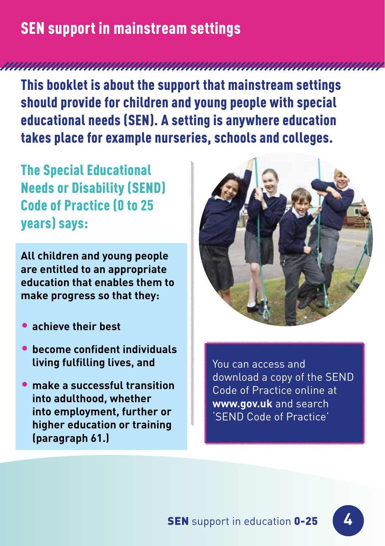## SEN support in mainstream settings

This booklet is about the support that mainstream settings should provide for children and young people with special educational needs (SEN). A setting is anywhere education takes place for example nurseries, schools and colleges.

The Special Educational Needs or Disability (SEND) Code of Practice (0 to 25 years) says:

**All children and young people are entitled to an appropriate education that enables them to make progress so that they:** 

- **achieve their best**
- **become confdent individuals living fulfilling lives, and**
- **make a successful transition into adulthood, whether into employment, further or higher education or training (paragraph 61.)**



You can access and download a copy of the SEND Code of Practice online at **www.gov.uk** and search 'SEND Code of Practice'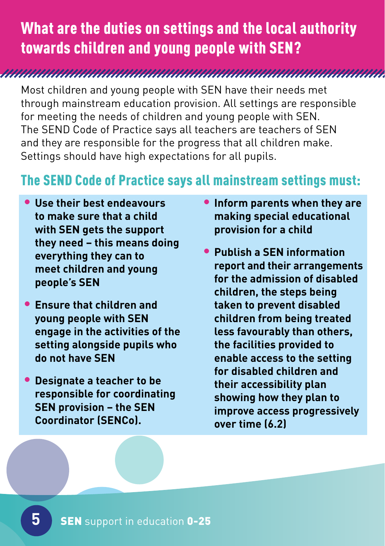## What are the duties on settings and the local authority towards children and young people with SEN?

Most children and young people with SEN have their needs met through mainstream education provision. All settings are responsible for meeting the needs of children and young people with SEN. The SEND Code of Practice says all teachers are teachers of SEN and they are responsible for the progress that all children make. Settings should have high expectations for all pupils.

#### The SEND Code of Practice says all mainstream settings must:

- **Use their best endeavours to make sure that a child with SEN gets the support they need – this means doing everything they can to meet children and young people's SEN**
- **Ensure that children and young people with SEN engage in the activities of the setting alongside pupils who do not have SEN**
- **Designate a teacher to be responsible for coordinating SEN provision – the SEN Coordinator (SENCo).**
- **Inform parents when they are making special educational provision for a child**
- **Publish a SEN information report and their arrangements for the admission of disabled children, the steps being taken to prevent disabled children from being treated less favourably than others, the facilities provided to enable access to the setting for disabled children and their accessibility plan showing how they plan to improve access progressively over time (6.2)**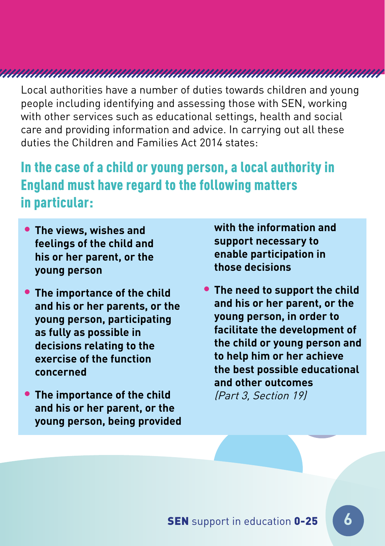Local authorities have a number of duties towards children and young people including identifying and assessing those with SEN, working with other services such as educational settings, health and social care and providing information and advice. In carrying out all these duties the Children and Families Act 2014 states:

#### In the case of a child or young person, a local authority in England must have regard to the following matters in particular:

- **support necessary to feelings of the child and**  his or her parent, or the **the enable participa**<br>weight of the those decisions **those decisions young person**
- **and his or her parents, or the and his or her parent, or the and his or her parent, or the and his or her parent. young person, participating exercise of the function** to help him or her achieve
- The importance of the child *[Part 3, Section 19]* **and his or her parent, or the young person, being provided**

• **The views, wishes and with the information and** 

• The importance of the child <sup>•</sup> The need to support the child<br>and his or her narents or the **and his or her parent, or the as fully as possible in facilitate the development of decisions relating to the the child or young person and the best possible educational concerned and other outcomes**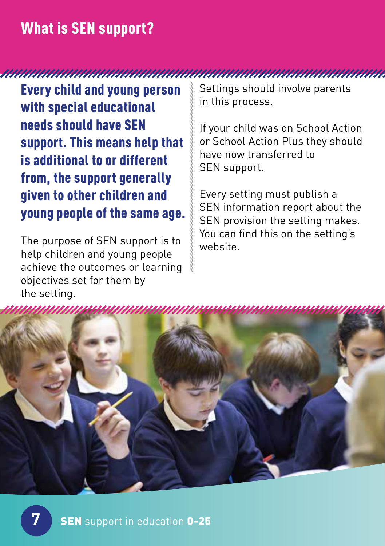#### What is SEN support?

Every child and young person with special educational needs should have SEN support. This means help that is additional to or different from, the support generally given to other children and young people of the same age.

The purpose of SEN support is to help children and young people achieve the outcomes or learning objectives set for them by the setting.

Settings should involve parents in this process.

If your child was on School Action or School Action Plus they should have now transferred to SEN support.

Every setting must publish a SEN information report about the SEN provision the setting makes. You can find this on the setting's website.

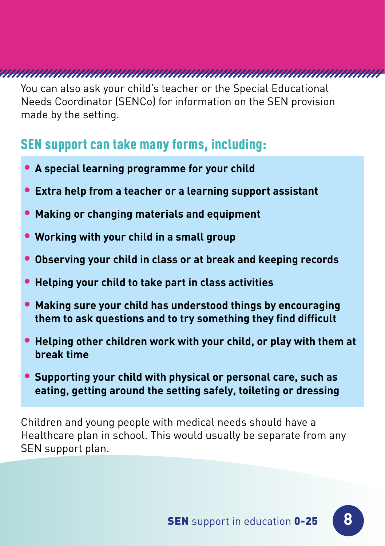You can also ask your child's teacher or the Special Educational Needs Coordinator (SENCo) for information on the SEN provision made by the setting.

#### SEN support can take many forms, including:

- **A special learning programme for your child**
- **Extra help from a teacher or a learning support assistant**
- **Making or changing materials and equipment**
- **Working with your child in a small group**
- **Observing your child in class or at break and keeping records**
- **Helping your child to take part in class activities**
- **Making sure your child has understood things by encouraging them to ask questions and to try something they fnd diffcult**
- **Helping other children work with your child, or play with them at break time**
- **Supporting your child with physical or personal care, such as eating, getting around the setting safely, toileting or dressing**

Children and young people with medical needs should have a Healthcare plan in school. This would usually be separate from any SEN support plan.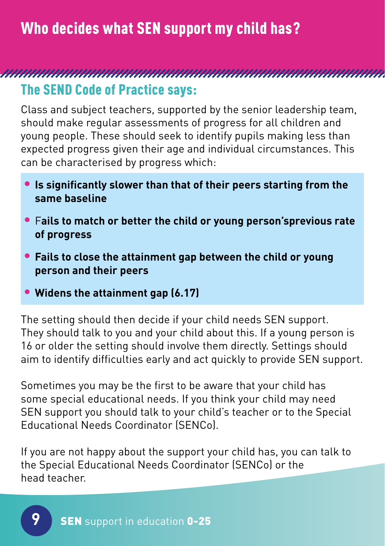Who decides what SEN support my child has?

## 

#### The SEND Code of Practice says:

Class and subject teachers, supported by the senior leadership team, should make regular assessments of progress for all children and young people. These should seek to identify pupils making less than expected progress given their age and individual circumstances. This can be characterised by progress which:

- **Is signifcantly slower than that of their peers starting from the same baseline**
- F**ails to match or better the child or young person'sprevious rate of progress**
- **Fails to close the attainment gap between the child or young person and their peers**
- **Widens the attainment gap (6.17)**

The setting should then decide if your child needs SEN support. They should talk to you and your child about this. If a young person is 16 or older the setting should involve them directly. Settings should aim to identify difficulties early and act quickly to provide SEN support.

Sometimes you may be the first to be aware that your child has some special educational needs. If you think your child may need SEN support you should talk to your child's teacher or to the Special Educational Needs Coordinator (SENCo).

If you are not happy about the support your child has, you can talk to the Special Educational Needs Coordinator (SENCo) or the head teacher.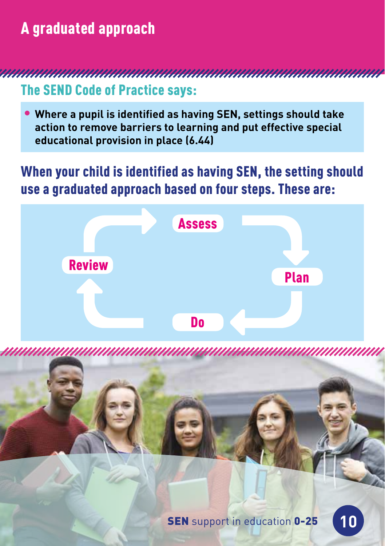## A graduated approach

The SEND Code of Practice says:

,,,,,,,,,,,,,,,,,,,,,,,

• **Where a pupil is identifed as having SEN, settings should take action to remove barriers to learning and put effective special educational provision in place (6.44)** 

#### When your child is identified as having SEN, the setting should use a graduated approach based on four steps. These are:

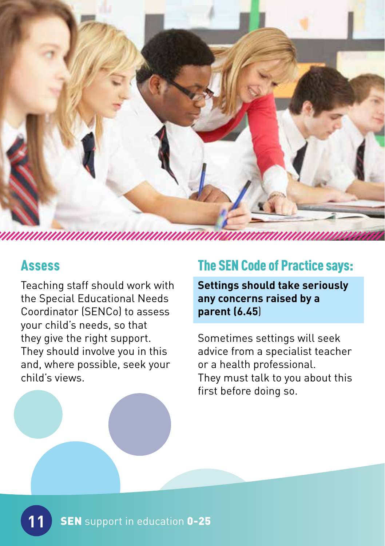

#### Assess

Teaching staff should work with the Special Educational Needs Coordinator (SENCo) to assess your child's needs, so that they give the right support. They should involve you in this and, where possible, seek your child's views.

#### The SEN Code of Practice says:

**Settings should take seriously any concerns raised by a parent (6.45**)

Sometimes settings will seek advice from a specialist teacher or a health professional. They must talk to you about this first before doing so.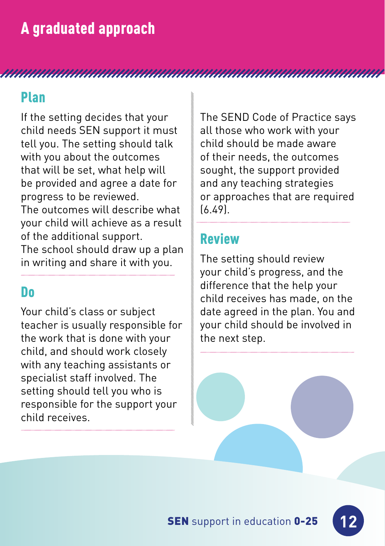#### Plan

If the setting decides that your child needs SEN support it must tell you. The setting should talk with you about the outcomes that will be set, what help will be provided and agree a date for progress to be reviewed. The outcomes will describe what your child will achieve as a result of the additional support.

The school should draw up a plan in writing and share it with you.

#### Do

Your child's class or subject teacher is usually responsible for the work that is done with your child, and should work closely with any teaching assistants or specialist staff involved. The setting should tell you who is responsible for the support your child receives.

The SEND Code of Practice says all those who work with your child should be made aware of their needs, the outcomes sought, the support provided and any teaching strategies or approaches that are required (6.49).

#### Review

The setting should review your child's progress, and the difference that the help your child receives has made, on the date agreed in the plan. You and your child should be involved in the next step.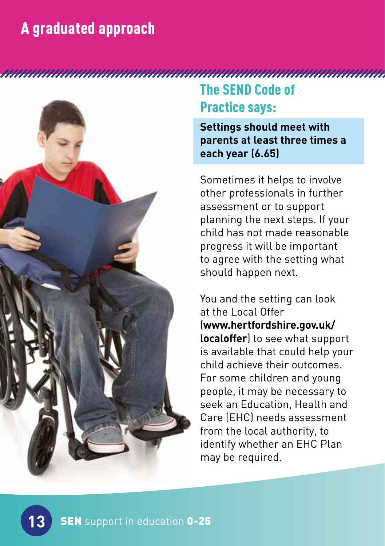## A graduated approach



## The SEND Code of Practice says:

**Settings should meet with parents at least three times a each year (6.65)** 

Sometimes it helps to involve other professionals in further assessment or to support planning the next steps. If your child has not made reasonable progress it will be important to agree with the setting what should happen next.

You and the setting can look at the Local Offer (**www.hertfordshire.gov.uk/ localoffer**) to see what support is available that could help your child achieve their outcomes. For some children and young people, it may be necessary to seek an Education, Health and Care (EHC) needs assessment from the local authority, to identify whether an EHC Plan may be required.

**13**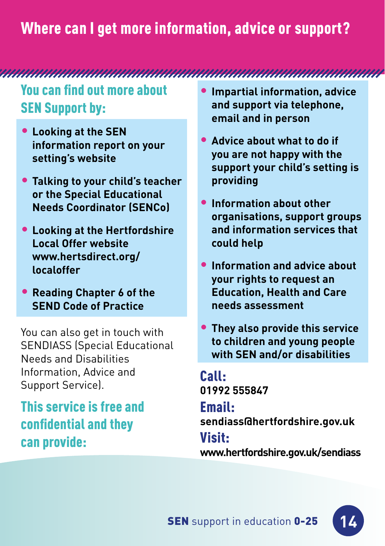## Where can I get more information, advice or support?

You can find out more about SEN Support by:

- **Looking at the SEN information report on your setting's website**
- **Talking to your child's teacher or the Special Educational Needs Coordinator (SENCo)**
- **Looking at the Hertfordshire Local Offer website [www.hertsdirect.org/](www.hertsdirect.org) localoffer**
- **Reading Chapter 6 of the SEND Code of Practice**

You can also get in touch with SENDIASS (Special Educational Needs and Disabilities Information, Advice and Support Service).

This service is free and confdential and they can provide:

- **Impartial information, advice and support via telephone, email and in person**
- **Advice about what to do if you are not happy with the support your child's setting is providing**
- **Information about other organisations, support groups and information services that could help**
- **Information and advice about your rights to request an Education, Health and Care needs assessment**
- **They also provide this service to children and young people with SEN and/or disabilities**

Call: **01992 555847** 

#### Email:

**sendiass@hertfordshire.gov.uk** 

#### Visit:

**<www.hertfordshire.gov.uk/sendiass>**